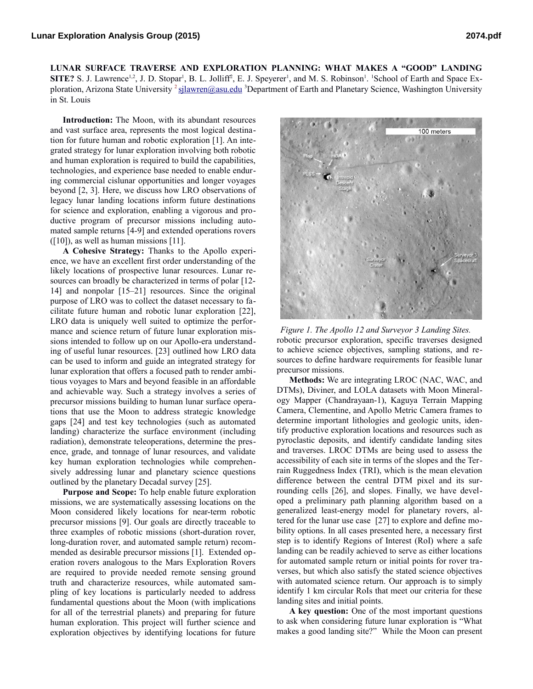**LUNAR SURFACE TRAVERSE AND EXPLORATION PLANNING: WHAT MAKES A "GOOD" LANDING SITE?** S. J. Lawrence<sup>1,2</sup>, J. D. Stopar<sup>1</sup>, B. L. Jolliff<sup>2</sup>, E. J. Speyerer<sup>1</sup>, and M. S. Robinson<sup>1</sup>. <sup>1</sup>School of Earth and Space Exploration, Arizona State University <sup>2</sup>[sjlawren@asu.edu](mailto:2sjlawren@asu.edu) <sup>3</sup>Department of Earth and Planetary Science, Washington University in St. Louis

**Introduction:** The Moon, with its abundant resources and vast surface area, represents the most logical destination for future human and robotic exploration [1]. An integrated strategy for lunar exploration involving both robotic and human exploration is required to build the capabilities, technologies, and experience base needed to enable enduring commercial cislunar opportunities and longer voyages beyond [2, 3]. Here, we discuss how LRO observations of legacy lunar landing locations inform future destinations for science and exploration, enabling a vigorous and productive program of precursor missions including automated sample returns [4-9] and extended operations rovers  $(10)$ , as well as human missions [11].

**A Cohesive Strategy:** Thanks to the Apollo experience, we have an excellent first order understanding of the likely locations of prospective lunar resources. Lunar resources can broadly be characterized in terms of polar [12-14] and nonpolar [15–21] resources. Since the original purpose of LRO was to collect the dataset necessary to facilitate future human and robotic lunar exploration [22], LRO data is uniquely well suited to optimize the performance and science return of future lunar exploration missions intended to follow up on our Apollo-era understanding of useful lunar resources. [23] outlined how LRO data can be used to inform and guide an integrated strategy for lunar exploration that offers a focused path to render ambitious voyages to Mars and beyond feasible in an affordable and achievable way. Such a strategy involves a series of precursor missions building to human lunar surface operations that use the Moon to address strategic knowledge gaps [24] and test key technologies (such as automated landing) characterize the surface environment (including radiation), demonstrate teleoperations, determine the presence, grade, and tonnage of lunar resources, and validate key human exploration technologies while comprehensively addressing lunar and planetary science questions outlined by the planetary Decadal survey [25].

**Purpose and Scope:** To help enable future exploration missions, we are systematically assessing locations on the Moon considered likely locations for near-term robotic precursor missions [9]. Our goals are directly traceable to three examples of robotic missions (short-duration rover, long-duration rover, and automated sample return) recommended as desirable precursor missions [1]. Extended operation rovers analogous to the Mars Exploration Rovers are required to provide needed remote sensing ground truth and characterize resources, while automated sampling of key locations is particularly needed to address fundamental questions about the Moon (with implications for all of the terrestrial planets) and preparing for future human exploration. This project will further science and exploration objectives by identifying locations for future



robotic precursor exploration, specific traverses designed to achieve science objectives, sampling stations, and resources to define hardware requirements for feasible lunar precursor missions. *Figure 1. The Apollo 12 and Surveyor 3 Landing Sites.*

**Methods:** We are integrating LROC (NAC, WAC, and DTMs), Diviner, and LOLA datasets with Moon Mineralogy Mapper (Chandrayaan-1), Kaguya Terrain Mapping Camera, Clementine, and Apollo Metric Camera frames to determine important lithologies and geologic units, identify productive exploration locations and resources such as pyroclastic deposits, and identify candidate landing sites and traverses. LROC DTMs are being used to assess the accessibility of each site in terms of the slopes and the Terrain Ruggedness Index (TRI), which is the mean elevation difference between the central DTM pixel and its surrounding cells [26], and slopes. Finally, we have developed a preliminary path planning algorithm based on a generalized least-energy model for planetary rovers, altered for the lunar use case [27] to explore and define mobility options. In all cases presented here, a necessary first step is to identify Regions of Interest (RoI) where a safe landing can be readily achieved to serve as either locations for automated sample return or initial points for rover traverses, but which also satisfy the stated science objectives with automated science return. Our approach is to simply identify 1 km circular RoIs that meet our criteria for these landing sites and initial points.

**A key question:** One of the most important questions to ask when considering future lunar exploration is "What makes a good landing site?" While the Moon can present